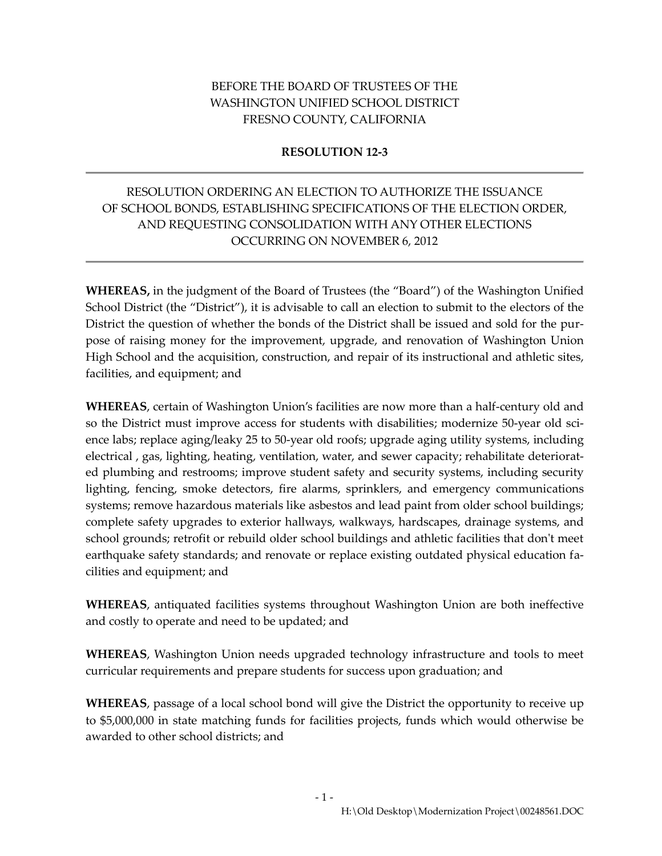## BEFORE THE BOARD OF TRUSTEES OF THE WASHINGTON UNIFIED SCHOOL DISTRICT FRESNO COUNTY, CALIFORNIA

### **RESOLUTION 12-3**

# RESOLUTION ORDERING AN ELECTION TO AUTHORIZE THE ISSUANCE OF SCHOOL BONDS, ESTABLISHING SPECIFICATIONS OF THE ELECTION ORDER, AND REQUESTING CONSOLIDATION WITH ANY OTHER ELECTIONS OCCURRING ON NOVEMBER 6, 2012

**WHEREAS,** in the judgment of the Board of Trustees (the "Board") of the Washington Unified School District (the "District"), it is advisable to call an election to submit to the electors of the District the question of whether the bonds of the District shall be issued and sold for the purpose of raising money for the improvement, upgrade, and renovation of Washington Union High School and the acquisition, construction, and repair of its instructional and athletic sites, facilities, and equipment; and

**WHEREAS**, certain of Washington Union's facilities are now more than a half-century old and so the District must improve access for students with disabilities; modernize 50-year old science labs; replace aging/leaky 25 to 50-year old roofs; upgrade aging utility systems, including electrical , gas, lighting, heating, ventilation, water, and sewer capacity; rehabilitate deteriorated plumbing and restrooms; improve student safety and security systems, including security lighting, fencing, smoke detectors, fire alarms, sprinklers, and emergency communications systems; remove hazardous materials like asbestos and lead paint from older school buildings; complete safety upgrades to exterior hallways, walkways, hardscapes, drainage systems, and school grounds; retrofit or rebuild older school buildings and athletic facilities that don't meet earthquake safety standards; and renovate or replace existing outdated physical education facilities and equipment; and

**WHEREAS**, antiquated facilities systems throughout Washington Union are both ineffective and costly to operate and need to be updated; and

**WHEREAS**, Washington Union needs upgraded technology infrastructure and tools to meet curricular requirements and prepare students for success upon graduation; and

**WHEREAS**, passage of a local school bond will give the District the opportunity to receive up to \$5,000,000 in state matching funds for facilities projects, funds which would otherwise be awarded to other school districts; and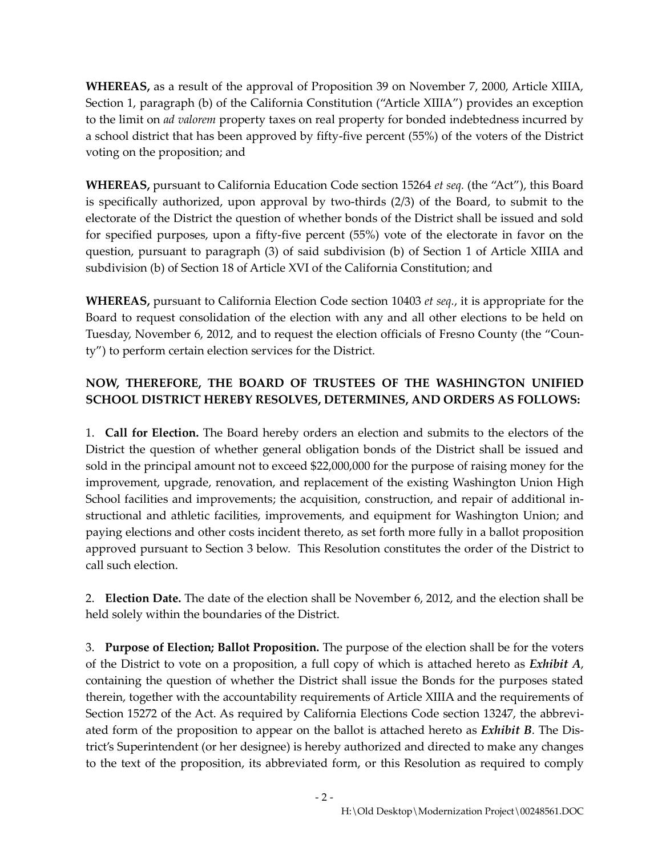**WHEREAS,** as a result of the approval of Proposition 39 on November 7, 2000, Article XIIIA, Section 1, paragraph (b) of the California Constitution ("Article XIIIA") provides an exception to the limit on *ad valorem* property taxes on real property for bonded indebtedness incurred by a school district that has been approved by fifty-five percent (55%) of the voters of the District voting on the proposition; and

**WHEREAS,** pursuant to California Education Code section 15264 *et seq.* (the "Act"), this Board is specifically authorized, upon approval by two-thirds (2/3) of the Board, to submit to the electorate of the District the question of whether bonds of the District shall be issued and sold for specified purposes, upon a fifty-five percent (55%) vote of the electorate in favor on the question, pursuant to paragraph (3) of said subdivision (b) of Section 1 of Article XIIIA and subdivision (b) of Section 18 of Article XVI of the California Constitution; and

**WHEREAS,** pursuant to California Election Code section 10403 *et seq.*, it is appropriate for the Board to request consolidation of the election with any and all other elections to be held on Tuesday, November 6, 2012, and to request the election officials of Fresno County (the "County") to perform certain election services for the District.

# **NOW, THEREFORE, THE BOARD OF TRUSTEES OF THE WASHINGTON UNIFIED SCHOOL DISTRICT HEREBY RESOLVES, DETERMINES, AND ORDERS AS FOLLOWS:**

1. **Call for Election.** The Board hereby orders an election and submits to the electors of the District the question of whether general obligation bonds of the District shall be issued and sold in the principal amount not to exceed \$22,000,000 for the purpose of raising money for the improvement, upgrade, renovation, and replacement of the existing Washington Union High School facilities and improvements; the acquisition, construction, and repair of additional instructional and athletic facilities, improvements, and equipment for Washington Union; and paying elections and other costs incident thereto, as set forth more fully in a ballot proposition approved pursuant to Section 3 below. This Resolution constitutes the order of the District to call such election.

2. **Election Date.** The date of the election shall be November 6, 2012, and the election shall be held solely within the boundaries of the District.

3. **Purpose of Election; Ballot Proposition.** The purpose of the election shall be for the voters of the District to vote on a proposition, a full copy of which is attached hereto as *Exhibit A*, containing the question of whether the District shall issue the Bonds for the purposes stated therein, together with the accountability requirements of Article XIIIA and the requirements of Section 15272 of the Act. As required by California Elections Code section 13247, the abbreviated form of the proposition to appear on the ballot is attached hereto as *Exhibit B*. The District's Superintendent (or her designee) is hereby authorized and directed to make any changes to the text of the proposition, its abbreviated form, or this Resolution as required to comply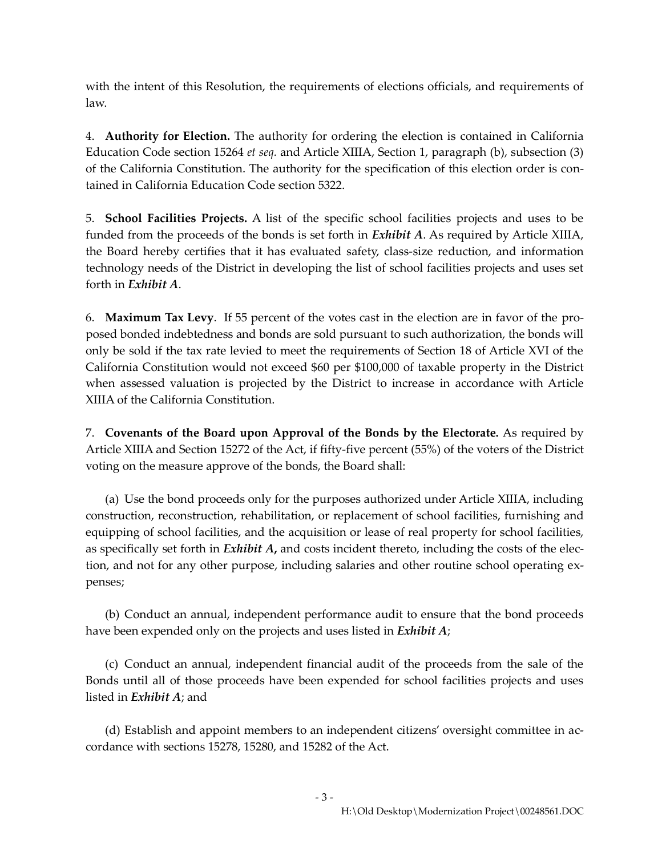with the intent of this Resolution, the requirements of elections officials, and requirements of law.

4. **Authority for Election.** The authority for ordering the election is contained in California Education Code section 15264 *et seq.* and Article XIIIA, Section 1, paragraph (b), subsection (3) of the California Constitution. The authority for the specification of this election order is contained in California Education Code section 5322.

5. **School Facilities Projects.** A list of the specific school facilities projects and uses to be funded from the proceeds of the bonds is set forth in *Exhibit A*. As required by Article XIIIA, the Board hereby certifies that it has evaluated safety, class-size reduction, and information technology needs of the District in developing the list of school facilities projects and uses set forth in *Exhibit A*.

6. **Maximum Tax Levy**. If 55 percent of the votes cast in the election are in favor of the proposed bonded indebtedness and bonds are sold pursuant to such authorization, the bonds will only be sold if the tax rate levied to meet the requirements of Section 18 of Article XVI of the California Constitution would not exceed \$60 per \$100,000 of taxable property in the District when assessed valuation is projected by the District to increase in accordance with Article XIIIA of the California Constitution.

7. **Covenants of the Board upon Approval of the Bonds by the Electorate.** As required by Article XIIIA and Section 15272 of the Act, if fifty-five percent (55%) of the voters of the District voting on the measure approve of the bonds, the Board shall:

(a) Use the bond proceeds only for the purposes authorized under Article XIIIA, including construction, reconstruction, rehabilitation, or replacement of school facilities, furnishing and equipping of school facilities, and the acquisition or lease of real property for school facilities, as specifically set forth in *Exhibit A***,** and costs incident thereto, including the costs of the election, and not for any other purpose, including salaries and other routine school operating expenses;

(b) Conduct an annual, independent performance audit to ensure that the bond proceeds have been expended only on the projects and uses listed in *Exhibit A*;

(c) Conduct an annual, independent financial audit of the proceeds from the sale of the Bonds until all of those proceeds have been expended for school facilities projects and uses listed in *Exhibit A*; and

(d) Establish and appoint members to an independent citizens' oversight committee in accordance with sections 15278, 15280, and 15282 of the Act.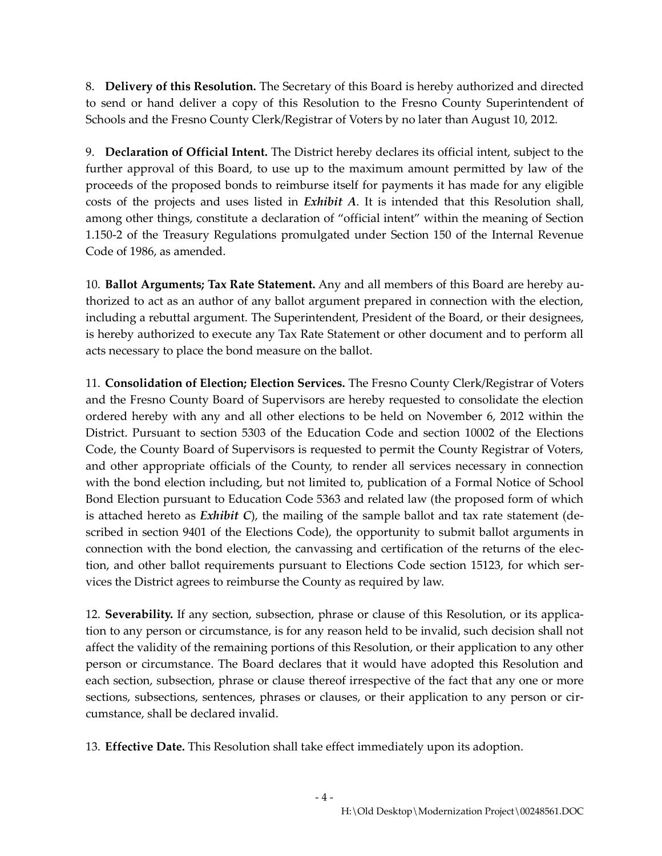8. **Delivery of this Resolution.** The Secretary of this Board is hereby authorized and directed to send or hand deliver a copy of this Resolution to the Fresno County Superintendent of Schools and the Fresno County Clerk/Registrar of Voters by no later than August 10, 2012.

9. **Declaration of Official Intent.** The District hereby declares its official intent, subject to the further approval of this Board, to use up to the maximum amount permitted by law of the proceeds of the proposed bonds to reimburse itself for payments it has made for any eligible costs of the projects and uses listed in *Exhibit A*. It is intended that this Resolution shall, among other things, constitute a declaration of "official intent" within the meaning of Section 1.150-2 of the Treasury Regulations promulgated under Section 150 of the Internal Revenue Code of 1986, as amended.

10. **Ballot Arguments; Tax Rate Statement.** Any and all members of this Board are hereby authorized to act as an author of any ballot argument prepared in connection with the election, including a rebuttal argument. The Superintendent, President of the Board, or their designees, is hereby authorized to execute any Tax Rate Statement or other document and to perform all acts necessary to place the bond measure on the ballot.

11. **Consolidation of Election; Election Services.** The Fresno County Clerk/Registrar of Voters and the Fresno County Board of Supervisors are hereby requested to consolidate the election ordered hereby with any and all other elections to be held on November 6, 2012 within the District. Pursuant to section 5303 of the Education Code and section 10002 of the Elections Code, the County Board of Supervisors is requested to permit the County Registrar of Voters, and other appropriate officials of the County, to render all services necessary in connection with the bond election including, but not limited to, publication of a Formal Notice of School Bond Election pursuant to Education Code 5363 and related law (the proposed form of which is attached hereto as *Exhibit C*), the mailing of the sample ballot and tax rate statement (described in section 9401 of the Elections Code), the opportunity to submit ballot arguments in connection with the bond election, the canvassing and certification of the returns of the election, and other ballot requirements pursuant to Elections Code section 15123, for which services the District agrees to reimburse the County as required by law.

12. **Severability.** If any section, subsection, phrase or clause of this Resolution, or its application to any person or circumstance, is for any reason held to be invalid, such decision shall not affect the validity of the remaining portions of this Resolution, or their application to any other person or circumstance. The Board declares that it would have adopted this Resolution and each section, subsection, phrase or clause thereof irrespective of the fact that any one or more sections, subsections, sentences, phrases or clauses, or their application to any person or circumstance, shall be declared invalid.

13. **Effective Date.** This Resolution shall take effect immediately upon its adoption.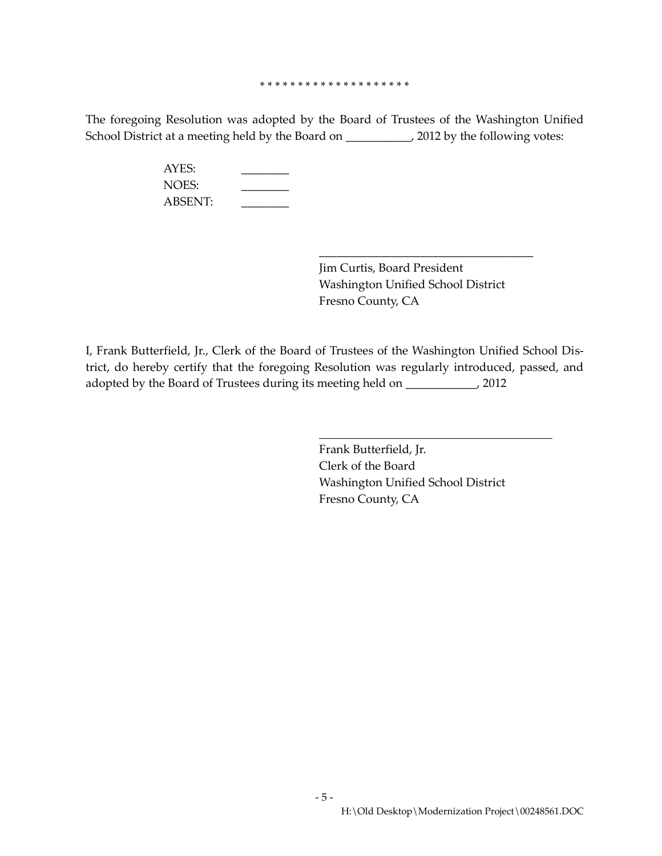#### \* \* \* \* \* \* \* \* \* \* \* \* \* \* \* \* \* \* \* \*

The foregoing Resolution was adopted by the Board of Trustees of the Washington Unified School District at a meeting held by the Board on \_\_\_\_\_\_\_\_\_\_\_, 2012 by the following votes:

| AYES:          |  |
|----------------|--|
| NOES:          |  |
| <b>ABSENT:</b> |  |

Jim Curtis, Board President Washington Unified School District Fresno County, CA

\_\_\_\_\_\_\_\_\_\_\_\_\_\_\_\_\_\_\_\_\_\_\_\_\_\_\_\_\_\_\_\_\_\_\_\_

I, Frank Butterfield, Jr., Clerk of the Board of Trustees of the Washington Unified School District, do hereby certify that the foregoing Resolution was regularly introduced, passed, and adopted by the Board of Trustees during its meeting held on \_\_\_\_\_\_\_\_\_\_\_\_, 2012

> Frank Butterfield, Jr. Clerk of the Board Washington Unified School District Fresno County, CA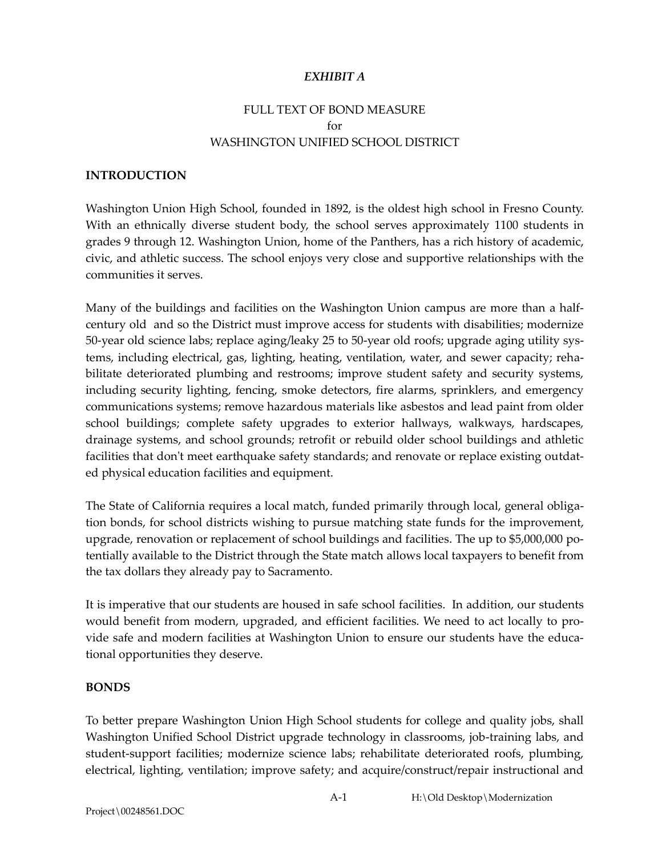## *EXHIBIT A*

# FULL TEXT OF BOND MEASURE for WASHINGTON UNIFIED SCHOOL DISTRICT

#### **INTRODUCTION**

Washington Union High School, founded in 1892, is the oldest high school in Fresno County. With an ethnically diverse student body, the school serves approximately 1100 students in grades 9 through 12. Washington Union, home of the Panthers, has a rich history of academic, civic, and athletic success. The school enjoys very close and supportive relationships with the communities it serves.

Many of the buildings and facilities on the Washington Union campus are more than a halfcentury old and so the District must improve access for students with disabilities; modernize 50-year old science labs; replace aging/leaky 25 to 50-year old roofs; upgrade aging utility systems, including electrical, gas, lighting, heating, ventilation, water, and sewer capacity; rehabilitate deteriorated plumbing and restrooms; improve student safety and security systems, including security lighting, fencing, smoke detectors, fire alarms, sprinklers, and emergency communications systems; remove hazardous materials like asbestos and lead paint from older school buildings; complete safety upgrades to exterior hallways, walkways, hardscapes, drainage systems, and school grounds; retrofit or rebuild older school buildings and athletic facilities that don't meet earthquake safety standards; and renovate or replace existing outdated physical education facilities and equipment.

The State of California requires a local match, funded primarily through local, general obligation bonds, for school districts wishing to pursue matching state funds for the improvement, upgrade, renovation or replacement of school buildings and facilities. The up to \$5,000,000 potentially available to the District through the State match allows local taxpayers to benefit from the tax dollars they already pay to Sacramento.

It is imperative that our students are housed in safe school facilities. In addition, our students would benefit from modern, upgraded, and efficient facilities. We need to act locally to provide safe and modern facilities at Washington Union to ensure our students have the educational opportunities they deserve.

#### **BONDS**

To better prepare Washington Union High School students for college and quality jobs, shall Washington Unified School District upgrade technology in classrooms, job-training labs, and student-support facilities; modernize science labs; rehabilitate deteriorated roofs, plumbing, electrical, lighting, ventilation; improve safety; and acquire/construct/repair instructional and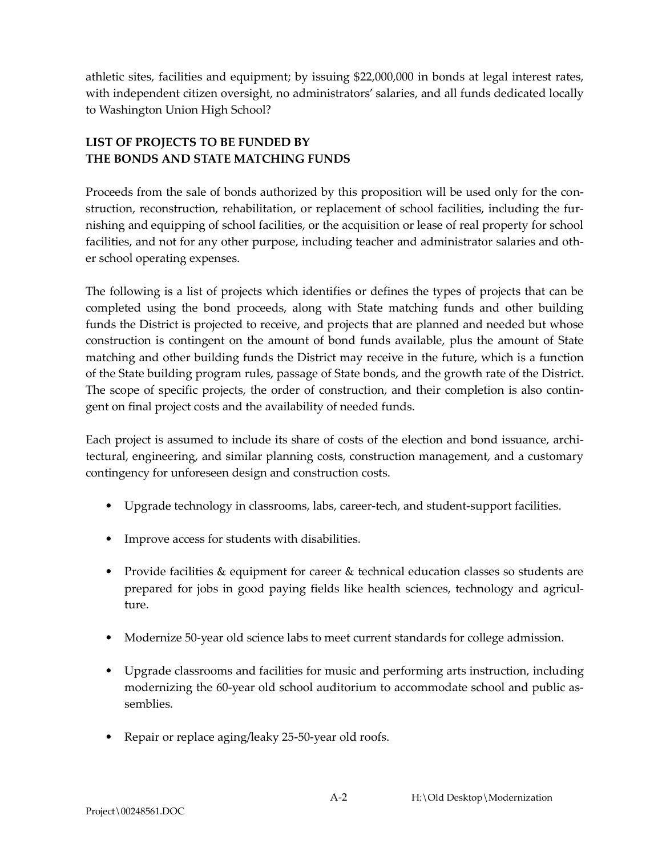athletic sites, facilities and equipment; by issuing \$22,000,000 in bonds at legal interest rates, with independent citizen oversight, no administrators' salaries, and all funds dedicated locally to Washington Union High School?

# **LIST OF PROJECTS TO BE FUNDED BY THE BONDS AND STATE MATCHING FUNDS**

Proceeds from the sale of bonds authorized by this proposition will be used only for the construction, reconstruction, rehabilitation, or replacement of school facilities, including the furnishing and equipping of school facilities, or the acquisition or lease of real property for school facilities, and not for any other purpose, including teacher and administrator salaries and other school operating expenses.

The following is a list of projects which identifies or defines the types of projects that can be completed using the bond proceeds, along with State matching funds and other building funds the District is projected to receive, and projects that are planned and needed but whose construction is contingent on the amount of bond funds available, plus the amount of State matching and other building funds the District may receive in the future, which is a function of the State building program rules, passage of State bonds, and the growth rate of the District. The scope of specific projects, the order of construction, and their completion is also contingent on final project costs and the availability of needed funds.

Each project is assumed to include its share of costs of the election and bond issuance, architectural, engineering, and similar planning costs, construction management, and a customary contingency for unforeseen design and construction costs.

- Upgrade technology in classrooms, labs, career-tech, and student-support facilities.
- Improve access for students with disabilities.
- Provide facilities & equipment for career & technical education classes so students are prepared for jobs in good paying fields like health sciences, technology and agriculture.
- Modernize 50-year old science labs to meet current standards for college admission.
- Upgrade classrooms and facilities for music and performing arts instruction, including modernizing the 60-year old school auditorium to accommodate school and public assemblies.
- Repair or replace aging/leaky 25-50-year old roofs.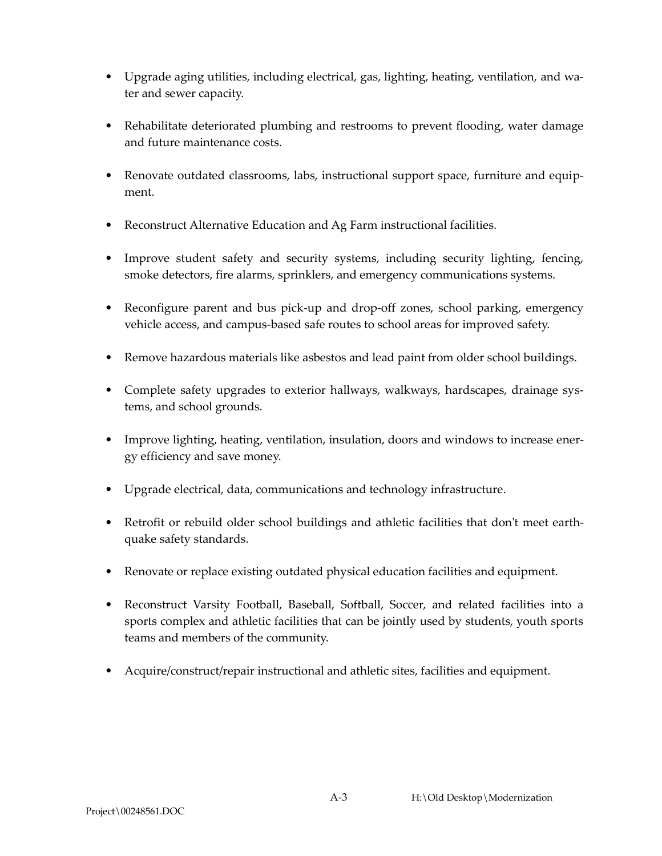- Upgrade aging utilities, including electrical, gas, lighting, heating, ventilation, and water and sewer capacity.
- Rehabilitate deteriorated plumbing and restrooms to prevent flooding, water damage and future maintenance costs.
- Renovate outdated classrooms, labs, instructional support space, furniture and equipment.
- Reconstruct Alternative Education and Ag Farm instructional facilities.
- Improve student safety and security systems, including security lighting, fencing, smoke detectors, fire alarms, sprinklers, and emergency communications systems.
- Reconfigure parent and bus pick-up and drop-off zones, school parking, emergency vehicle access, and campus-based safe routes to school areas for improved safety.
- Remove hazardous materials like asbestos and lead paint from older school buildings.
- Complete safety upgrades to exterior hallways, walkways, hardscapes, drainage systems, and school grounds.
- Improve lighting, heating, ventilation, insulation, doors and windows to increase energy efficiency and save money.
- Upgrade electrical, data, communications and technology infrastructure.
- Retrofit or rebuild older school buildings and athletic facilities that don't meet earthquake safety standards.
- Renovate or replace existing outdated physical education facilities and equipment.
- Reconstruct Varsity Football, Baseball, Softball, Soccer, and related facilities into a sports complex and athletic facilities that can be jointly used by students, youth sports teams and members of the community.
- Acquire/construct/repair instructional and athletic sites, facilities and equipment.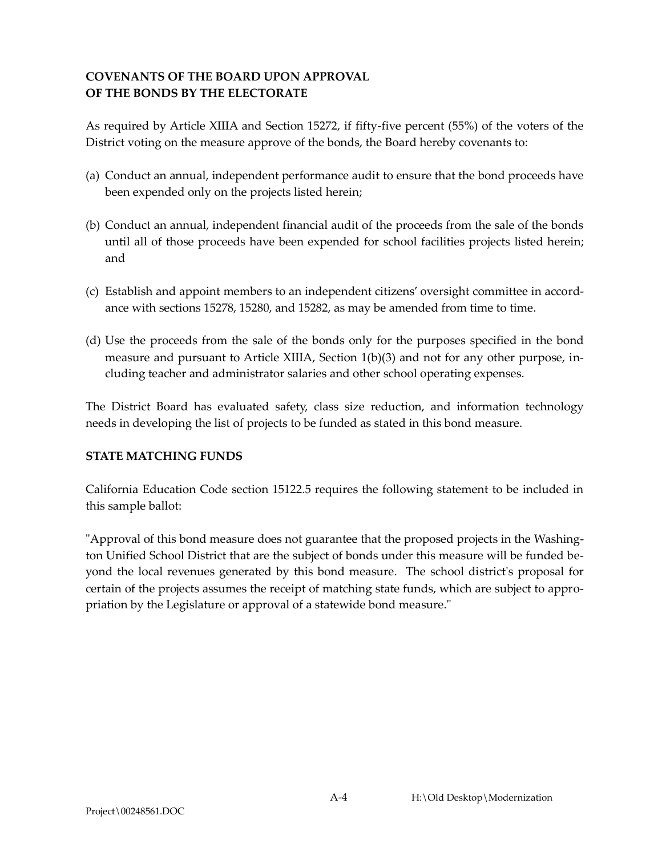## **COVENANTS OF THE BOARD UPON APPROVAL OF THE BONDS BY THE ELECTORATE**

As required by Article XIIIA and Section 15272, if fifty-five percent (55%) of the voters of the District voting on the measure approve of the bonds, the Board hereby covenants to:

- (a) Conduct an annual, independent performance audit to ensure that the bond proceeds have been expended only on the projects listed herein;
- (b) Conduct an annual, independent financial audit of the proceeds from the sale of the bonds until all of those proceeds have been expended for school facilities projects listed herein; and
- (c) Establish and appoint members to an independent citizens' oversight committee in accordance with sections 15278, 15280, and 15282, as may be amended from time to time.
- (d) Use the proceeds from the sale of the bonds only for the purposes specified in the bond measure and pursuant to Article XIIIA, Section 1(b)(3) and not for any other purpose, including teacher and administrator salaries and other school operating expenses.

The District Board has evaluated safety, class size reduction, and information technology needs in developing the list of projects to be funded as stated in this bond measure.

## **STATE MATCHING FUNDS**

California Education Code section 15122.5 requires the following statement to be included in this sample ballot:

"Approval of this bond measure does not guarantee that the proposed projects in the Washington Unified School District that are the subject of bonds under this measure will be funded beyond the local revenues generated by this bond measure. The school district's proposal for certain of the projects assumes the receipt of matching state funds, which are subject to appropriation by the Legislature or approval of a statewide bond measure."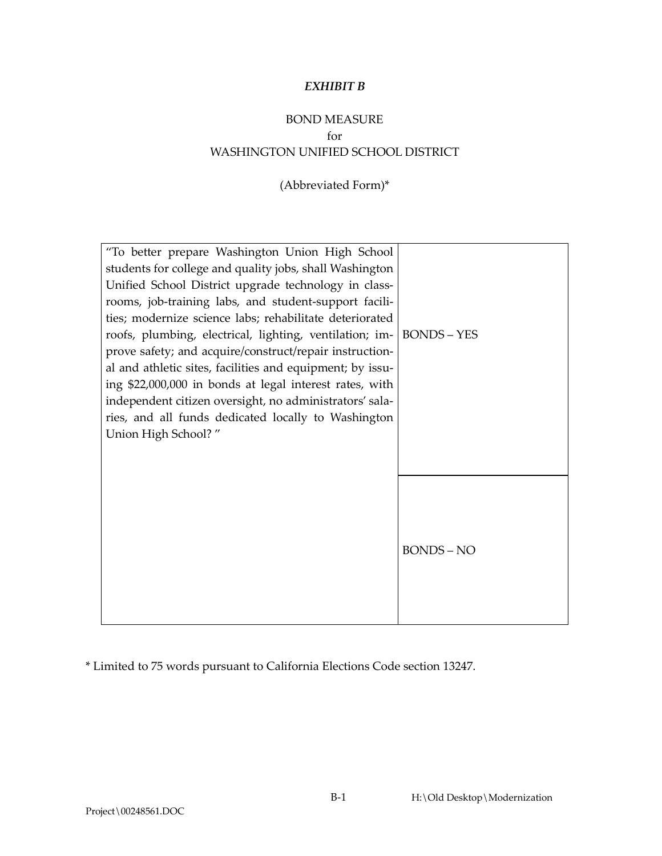#### *EXHIBIT B*

# BOND MEASURE for WASHINGTON UNIFIED SCHOOL DISTRICT

(Abbreviated Form)\*

| "To better prepare Washington Union High School<br>students for college and quality jobs, shall Washington<br>Unified School District upgrade technology in class-<br>rooms, job-training labs, and student-support facili-<br>ties; modernize science labs; rehabilitate deteriorated<br>roofs, plumbing, electrical, lighting, ventilation; im- BONDS - YES<br>prove safety; and acquire/construct/repair instruction-<br>al and athletic sites, facilities and equipment; by issu-<br>ing \$22,000,000 in bonds at legal interest rates, with<br>independent citizen oversight, no administrators' sala-<br>ries, and all funds dedicated locally to Washington<br>Union High School?" |                 |
|-------------------------------------------------------------------------------------------------------------------------------------------------------------------------------------------------------------------------------------------------------------------------------------------------------------------------------------------------------------------------------------------------------------------------------------------------------------------------------------------------------------------------------------------------------------------------------------------------------------------------------------------------------------------------------------------|-----------------|
|                                                                                                                                                                                                                                                                                                                                                                                                                                                                                                                                                                                                                                                                                           | <b>BONDS-NO</b> |

\* Limited to 75 words pursuant to California Elections Code section 13247.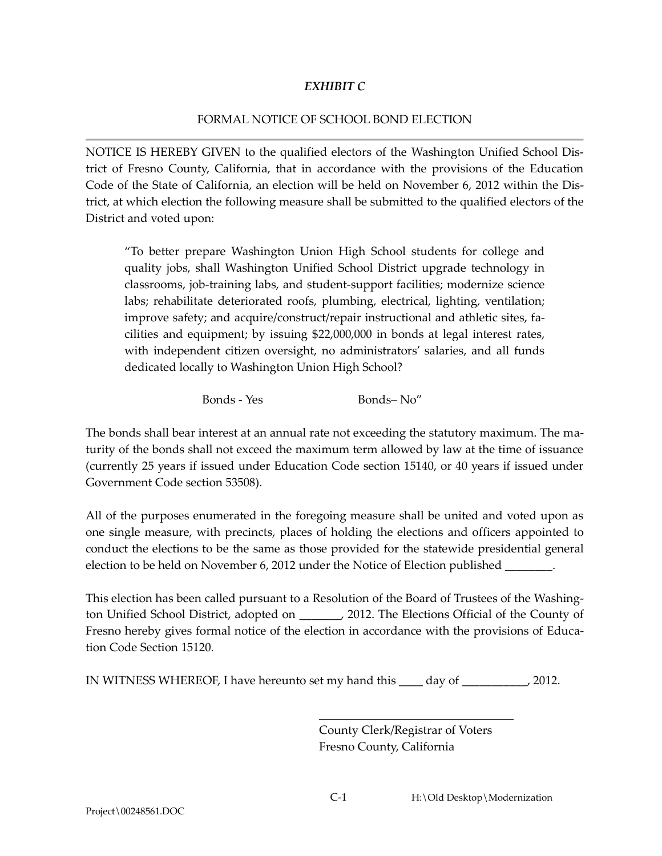### *EXHIBIT C*

#### FORMAL NOTICE OF SCHOOL BOND ELECTION

NOTICE IS HEREBY GIVEN to the qualified electors of the Washington Unified School District of Fresno County, California, that in accordance with the provisions of the Education Code of the State of California, an election will be held on November 6, 2012 within the District, at which election the following measure shall be submitted to the qualified electors of the District and voted upon:

"To better prepare Washington Union High School students for college and quality jobs, shall Washington Unified School District upgrade technology in classrooms, job-training labs, and student-support facilities; modernize science labs; rehabilitate deteriorated roofs, plumbing, electrical, lighting, ventilation; improve safety; and acquire/construct/repair instructional and athletic sites, facilities and equipment; by issuing \$22,000,000 in bonds at legal interest rates, with independent citizen oversight, no administrators' salaries, and all funds dedicated locally to Washington Union High School?

Bonds - Yes Bonds– No"

The bonds shall bear interest at an annual rate not exceeding the statutory maximum. The maturity of the bonds shall not exceed the maximum term allowed by law at the time of issuance (currently 25 years if issued under Education Code section 15140, or 40 years if issued under Government Code section 53508).

All of the purposes enumerated in the foregoing measure shall be united and voted upon as one single measure, with precincts, places of holding the elections and officers appointed to conduct the elections to be the same as those provided for the statewide presidential general election to be held on November 6, 2012 under the Notice of Election published  $\Box$ 

This election has been called pursuant to a Resolution of the Board of Trustees of the Washington Unified School District, adopted on \_\_\_\_\_\_\_, 2012. The Elections Official of the County of Fresno hereby gives formal notice of the election in accordance with the provisions of Education Code Section 15120.

IN WITNESS WHEREOF, I have hereunto set my hand this \_\_\_\_ day of \_\_\_\_\_\_\_\_\_\_\_, 2012.

County Clerk/Registrar of Voters Fresno County, California